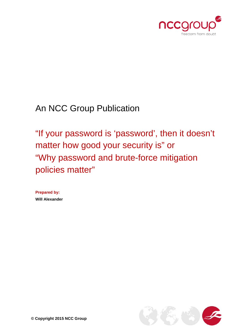

An NCC Group Publication

"If your password is 'password', then it doesn't matter how good your security is" or "Why password and brute-force mitigation policies matter"

**Prepared by: Will Alexander**

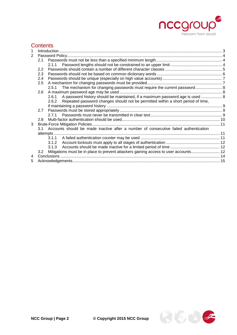

# **Contents**

| 2.1 |                                                                                        |                                                                                                                                                                                                                                                          |
|-----|----------------------------------------------------------------------------------------|----------------------------------------------------------------------------------------------------------------------------------------------------------------------------------------------------------------------------------------------------------|
|     | 2.1.1                                                                                  |                                                                                                                                                                                                                                                          |
| 2.2 |                                                                                        |                                                                                                                                                                                                                                                          |
| 2.3 |                                                                                        |                                                                                                                                                                                                                                                          |
| 2.4 |                                                                                        |                                                                                                                                                                                                                                                          |
| 2.5 |                                                                                        |                                                                                                                                                                                                                                                          |
|     | 2.5.1                                                                                  |                                                                                                                                                                                                                                                          |
| 2.6 |                                                                                        |                                                                                                                                                                                                                                                          |
|     | A password history should be maintained, if a maximum password age is used  8<br>2.6.1 |                                                                                                                                                                                                                                                          |
|     | 2.6.2                                                                                  |                                                                                                                                                                                                                                                          |
|     |                                                                                        |                                                                                                                                                                                                                                                          |
| 2.7 |                                                                                        |                                                                                                                                                                                                                                                          |
|     |                                                                                        |                                                                                                                                                                                                                                                          |
| 2.8 |                                                                                        |                                                                                                                                                                                                                                                          |
|     |                                                                                        |                                                                                                                                                                                                                                                          |
|     |                                                                                        |                                                                                                                                                                                                                                                          |
|     |                                                                                        |                                                                                                                                                                                                                                                          |
|     | 3.1.1                                                                                  |                                                                                                                                                                                                                                                          |
|     | 3.1.2                                                                                  |                                                                                                                                                                                                                                                          |
|     | 3.1.3                                                                                  |                                                                                                                                                                                                                                                          |
| 3.2 | Mitigations must be in place to prevent attackers gaining access to user accounts 12   |                                                                                                                                                                                                                                                          |
|     |                                                                                        |                                                                                                                                                                                                                                                          |
|     |                                                                                        |                                                                                                                                                                                                                                                          |
|     |                                                                                        | The mechanism for changing passwords must require the current password 8<br>Repeated password changes should not be permitted within a short period of time,<br>3.1 Accounts should be made inactive after a number of consecutive failed authentication |

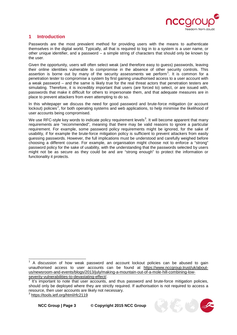

## <span id="page-2-0"></span>**1 Introduction**

Passwords are the most prevalent method for providing users with the means to authenticate themselves in the digital world. Typically, all that is required to log in to a system is a user name, or other unique identifier, and a password – a simple string of characters that should only be known by the user.

Given the opportunity, users will often select weak (and therefore easy to guess) passwords, leaving their online identities vulnerable to compromise in the absence of other security controls. This assertion is borne out by many of the security assessments we perform<sup>[1](#page-2-1)</sup>. It is common for a penetration tester to compromise a system by first gaining unauthorised access to a user account with a weak password – and the same is likely true for the real threat actors that penetration testers are simulating. Therefore, it is incredibly important that users (are forced to) select, or are issued with, passwords that make it difficult for others to impersonate them, and that adequate measures are in place to prevent attackers from even attempting to do so.

In this whitepaper we discuss the need for good password and brute-force mitigation (or account lockout) policies<sup>[2](#page-2-2)</sup>, for both operating systems and web applications, to help minimise the likelihood of user accounts being compromised.

We use RFC-style key words to indicate policy requirement levels<sup>[3](#page-2-3)</sup>. It will become apparent that many requirements are "recommended", meaning that there may be valid reasons to ignore a particular requirement. For example, some password policy requirements might be ignored, for the sake of usability, if for example the brute-force mitigation policy is sufficient to prevent attackers from easily guessing passwords. However, the full implications must be understood and carefully weighed before choosing a different course. For example, an organisation might choose not to enforce a "strong" password policy for the sake of usability, with the understanding that the passwords selected by users might not be as secure as they could be and are "strong enough" to protect the information or functionality it protects.

<span id="page-2-3"></span><sup>3</sup> <https://tools.ietf.org/html/rfc2119>



<span id="page-2-1"></span><sup>1</sup> A discussion of how weak password and account lockout policies can be abused to gain unauthorised access to user accounts can be found at [https://www.nccgroup.trust/uk/about](https://www.nccgroup.trust/uk/about-us/newsroom-and-events/blogs/2013/july/making-a-mountain-out-of-a-mole-hill-combining-low-severity-vulnerabilities-to-devastating-effect/)us/newsroom-and-events/blogs/2013/july/making-a-mountain-out-of-a-mole-hill-combining-low-<br>severity-vulnerabilities-to-devastating-effect/.  $\overline{\phantom{a}}$ 

<span id="page-2-2"></span>It's important to note that user accounts, and thus password and brute-force mitigation policies, should only be deployed where they are strictly required. If authorisation is not required to access a resource, then user accounts are likely not necessary.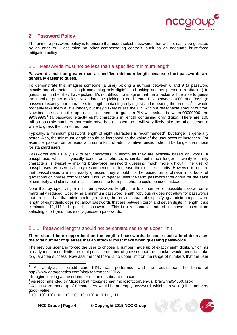

## <span id="page-3-0"></span>**2 Password Policy**

The aim of a password policy is to ensure that users select passwords that will not easily be guessed by an attacker – assuming no other compensating controls, such as an adequate brute-force mitigation policy.

## <span id="page-3-1"></span>2.1 Passwords must not be less than a specified minimum length

#### **Passwords must be greater than a specified minimum length because short passwords are generally easier to guess.**

To demonstrate this, imagine someone (a user) picking a number between 0 and 9 (a password exactly one character in length containing only digits), and asking another person (an attacker) to guess the number they have picked. It's not difficult to imagine that the attacker will be able to guess the number pretty quickly. Next, imagine picking a credit card PIN between 0000 and 9999 (a password exactly four characters in length containing only digits) and repeating the process<sup>[4](#page-3-3)</sup>. It would probably take them a little longer, but they'd likely guess the PIN within a reasonable amount of time. Now imagine scaling this up to asking someone to guess a PIN with values between 00000000 and 99999999<sup>[5](#page-3-4)</sup> (a password exactly eight characters in length containing only digits). There are 100 million possible numbers that could have been chosen, so it will very likely take the other person a while to guess the correct number.

Typically, a minimum password length of eight characters is recommended<sup>[6](#page-3-5)</sup>, but longer is generally better. Also, the minimum length should be increased as the value of the user account increases. For example, passwords for users with some kind of administrative function should be longer than those for standard users.

Passwords are usually six to ten characters in length as they are typically based on words. A passphrase, which is typically based on a phrase, is similar but much longer – twenty to thirty characters is typical – making brute-force password guessing much more difficult. The use of passphrases by users is highly recommended to increase their online security. However, to ensure that passphrases are not easily guessed they should not be based on a phrase in a book of quotations or phrase compilations. This whitepaper uses the term password throughout for the sake of simplicity and clarity, but in all instances the term passphrase could be used instead.

Note that by specifying a minimum password length, the total number of possible passwords is marginally reduced. Specifying a minimum password length (obviously) does not allow for passwords that are less than that minimum length. Using the previous example, specifying a minimum password length of eight digits does not allow passwords that are between zero<sup>[7](#page-3-6)</sup> and seven digits in length, thus eliminating 11,111,111<sup>[8](#page-3-7)</sup> possible passwords. This is a reasonable trade-off to prevent users from selecting short (and thus easily-guessed) passwords.

## <span id="page-3-2"></span>2.1.1 Password lengths should not be constrained to an upper limit

#### **There should be no upper limit on the length of passwords, because such a limit decreases the total number of guesses that an attacker must make when guessing passwords.**

The previous scenario forced the user to choose a number made up of exactly eight digits, which, as already mentioned, limits the total possible number of guesses that the attacker would need to make to guarantee success. Now assume that there is no upper limit on the range of numbers that the user

```
8^{8} 10<sup>0</sup>+10<sup>1</sup>+10<sup>2</sup>+10<sup>3</sup>+10<sup>4</sup>+10<sup>5</sup>+10<sup>6</sup>+10<sup>7</sup> = 11,111,111
```
 $\overline{\phantom{a}}$ 

**NCC Group | Page 4 © Copyright 2015 NCC Group**



<span id="page-3-3"></span><sup>&</sup>lt;sup>4</sup> An analysis of credit card PINs was performed, and the results can be found at http://www.datagenetics.com/blog/september32012/.

<span id="page-3-4"></span> $\frac{5}{6}$  Imagine looking at the odometer on the dashboard of a car.<br> $\frac{6}{6}$  As recommended by Microsoft at https://technet.microsoft.com/en-us/library/hh994560.aspx.

<span id="page-3-6"></span><span id="page-3-5"></span> $\frac{7}{4}$  A password made up of 0 characters would be an empty password, which is a valid (albeit not very good) value.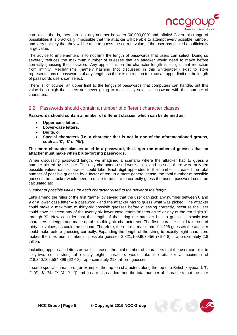

can pick – that is, they can pick any number between "00,000,000" and infinity! Given this range of possibilities it is practically impossible that the attacker will be able to attempt every possible number, and very unlikely that they will be able to guess the correct value, if the user has picked a sufficiently large value.

The advice to implementers is to not limit the length of passwords that users can select. Doing so severely reduces the maximum number of guesses that an attacker would need to make before correctly guessing the password. Any upper limit on the character length is a significant reduction from infinity. Mechanisms (namely hashing (not discussed in this whitepaper)) exist to store representations of passwords of any length, so there is no reason to place an upper limit on the length of passwords users can select.

There is, of course, an upper limit to the length of passwords that computers can handle, but this value is so high that users are never going to realistically select a password with that number of characters.

### <span id="page-4-0"></span>2.2 Passwords should contain a number of different character classes

#### **Passwords should contain a number of different classes, which can be defined as:**

- **Upper-case letters,**
- **Lower-case letters,**
- **Digits, or**
- **Special characters (i.e. a character that is not in one of the aforementioned groups, such as '£', '\$' or '%').**

#### **The more character classes used in a password, the larger the number of guesses that an attacker must make when brute-forcing passwords.**

When discussing password length, we imagined a scenario where the attacker had to guess a number picked by the user. The only characters used were digits, and as such there were only ten possible values each character could take. Each digit appended to the number increased the total number of possible guesses by a factor of ten. In a more general sense, the total number of possible guesses the attacker would need to make to be sure to correctly guess the user's password could be calculated as:

#### *Number of possible values for each character raised to the power of the length.*

Let's amend the rules of the first "game" by saying that the user can pick any number between 0 and 9 or a lower case letter – a password - and the attacker has to guess what was picked. The attacker could make a maximum of thirty-six possible guesses before guessing correctly, because the user could have selected any of the twenty-six lower case letters 'a' through 'z' or any of the ten digits '0' through '9'. Now consider that the length of the string the attacker has to guess is exactly two characters in length and made up of this thirty-six-character set. The first character could take one of thirty-six values, as could the second. Therefore, there are a maximum of 1,296 guesses the attacker could make before guessing correctly. Expanding the length of the string to exactly eight characters makes the maximum number of possible quesses  $2.821,109,907,456$  (36  $\land$  8) – approximately 2.8 trillion.

Including upper-case letters as well increases the total number of characters that the user can pick to sixty-two, so a string of exactly eight characters would take the attacker a maximum of 218,340,105,584,896 (62 ^ 8) –approximately 218 trillion - guesses.

If some special characters (for example, the top ten characters along the top of a British keyboard: '!', "", '£', '\$', '%', '^', '&', '\*', '(' and ')') are also added then the total number of characters that the user

**NCC Group | Page 5 © Copyright 2015 NCC Group**

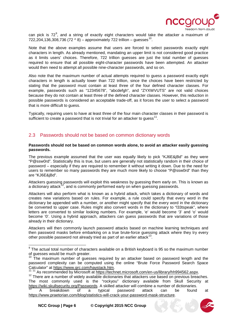

can pick is  $72^9$  $72^9$ , and a string of exactly eight characters would take the attacker a maximum of 722,204,136,308,736 (72  $\triangle$  8) – approximately 722 trillion – quesses<sup>10</sup>.

Note that the above examples assume that users are forced to select passwords exactly eight characters in length. As already mentioned, mandating an upper limit is not considered good practice as it limits users' choices. Therefore, 722 trillion guesses are just the total number of guesses required to ensure that all possible eight-character passwords have been attempted. An attacker would then need to attempt all possible nine-character passwords, and so on.

Also note that the maximum number of actual attempts required to guess a password exactly eight characters in length is actually lower than 722 trillion, since the choices have been restricted by stating that the password must contain at least three of the four defined character classes. For example, passwords such as "12345678", "abcdefgh", and "ZYXWVUTS" are not valid choices because they do not contain at least three of the defined character classes. However, this reduction in possible passwords is considered an acceptable trade-off, as it forces the user to select a password that is more difficult to guess.

Typically, requiring users to have at least three of the four main character classes in their password is sufficient to create a password that is not trivial for an attacker to guess<sup>[11](#page-5-3)</sup>.

### <span id="page-5-0"></span>2.3 Passwords should not be based on common dictionary words

#### **Passwords should not be based on common words alone, to avoid an attacker easily guessing passwords.**

The previous example assumed that the user was equally likely to pick "KJ6E&jBd" as they were "P@ssw0rd". Statistically this is true, but users are generally not statistically random in their choice of password – especially if they are required to remember it without writing it down. Due to the need for users to remember so many passwords they are much more likely to choose "P@ssw0rd" than they are "KJ6E&jBd".

Attackers guessing passwords will exploit this weakness by guessing them early on. This is known as a dictionary attack<sup>[12](#page-5-4)</sup>, and is commonly performed early on when quessing passwords.

Attackers will also perform what is known as a hybrid attack, which takes a dictionary of words and creates new variations based on rules. For example, a rule could specify that every word in the dictionary be appended with a number, or another might specify that the every word in the dictionary be converted to upper case. Rules might also convert words in the dictionary to "l33tspeak", where letters are converted to similar looking numbers. For example, 'e' would become '3' and 'o' would become '0'. Using a hybrid approach, attackers can guess passwords that are variations of those already in their dictionary.

Attackers will then commonly launch password attacks based on machine learning techniques and then password masks before embarking on a true brute-force guessing attack where they try every other possible password not already tried as part of an earlier attack<sup>13</sup>.

 $\overline{a}$ 



<span id="page-5-1"></span> $9$  The actual total number of characters available on a British keyboard is 95 so the maximum number of guesses would be much greater.

<span id="page-5-2"></span>The maximum number of guesses required by an attacker based on password length and the password complexity can be computed using the online "Brute Force Password Search Space<br>Calculator" at https://www.grc.com/haystack.htm.<br>11.11.0 recommended by Misson Waystack.htm.

<span id="page-5-4"></span><span id="page-5-3"></span> $11$  11 As recommended by Microsoft at [https://technet.microsoft.com/en-us/library/hh994562.aspx.](https://technet.microsoft.com/en-us/library/hh994562.aspx)<br><sup>12</sup> There are a number of widely available dictionaries that attackers use based on previous breaches. The most commonly used is the "rockyou" dictionary available from Skull Security at [https://wiki.skullsecurity.org/Passwords.](https://wiki.skullsecurity.org/Passwords) A skilled attacker will combine a number of dictionaries.

<span id="page-5-5"></span><sup>&</sup>lt;sup>13</sup> A breakdown of a typical password attack can be found at [https://www.praetorian.com/blog/statistics-will-crack-your-password-mask-structure.](https://www.praetorian.com/blog/statistics-will-crack-your-password-mask-structure)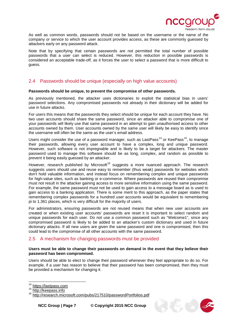

As well as common words, passwords should not be based on the username or the name of the company or service to which the user account provides access, as these are commonly guessed by attackers early on any password attack.

Note that by specifying that certain passwords are not permitted the total number of possible passwords that a user can select is reduced. However, this reduction in possible passwords is considered an acceptable trade-off, as it forces the user to select a password that is more difficult to guess.

## <span id="page-6-0"></span>2.4 Passwords should be unique (especially on high value accounts)

#### **Passwords should be unique, to prevent the compromise of other passwords.**

As previously mentioned, the attacker uses dictionaries to exploit the statistical bias in users' password selections. Any compromised passwords not already in their dictionary will be added for use in future attacks.

For users this means that the passwords they select should be unique for each account they have. No two user accounts should share the same password, since an attacker able to compromise one of your passwords will likely use that same password in an attempt to gain unauthorised access to other accounts owned by them. User accounts owned by the same user will likely be easy to identify since the username will often be the same as the user's email address.

Users might consider the use of a password manager, such as LastPass<sup>[14](#page-6-2)</sup> or KeePass<sup>15</sup>, to manage their passwords, allowing every user account to have a complex, long and unique password. However, such software is not impregnable and is likely to be a target for attackers. The master password used to manage this software should be as long, complex, and random as possible to prevent it being easily guessed by an attacker.

However, research published by Microsoft<sup>[16](#page-6-4)</sup> suggests a more nuanced approach. The research suggests users should use and reuse easy to remember (thus weak) passwords for websites which don't hold valuable information, and instead focus on remembering complex and unique passwords for high-value sites, such as banking or e-commerce. Where passwords are reused their compromise must not result in the attacker gaining access to more sensitive information using the same password. For example, the same password must not be used to gain access to a message board as is used to gain access to a banking application. There is some merit to this approach, as the paper states that remembering complex passwords for a hundred user accounts would be equivalent to remembering pi to 1,361 places, which is very difficult for the majority of users.

For administrators, ensuring passwords are not reused means that when new user accounts are created or when existing user accounts' passwords are reset it is important to select random and unique passwords for each user. Do not use a common password such as "Welcome1", since any compromised password is likely to be added to an attacker's custom dictionary and used in future dictionary attacks. If all new users are given the same password and one is compromised, then this could lead to the compromise of all other accounts with the same password.

### <span id="page-6-1"></span>2.5 A mechanism for changing passwords must be provided

#### **Users must be able to change their passwords on demand in the event that they believe their password has been compromised.**

Users should be able to elect to change their password whenever they feel appropriate to do so. For example, if a user has reason to believe that their password has been compromised, then they must be provided a mechanism for changing it.



 $14$ 

<span id="page-6-4"></span>

<span id="page-6-3"></span><span id="page-6-2"></span><sup>&</sup>lt;sup>14</sup> [https://lastpass.com](https://lastpass.com/)<br><sup>15</sup> [http://keepass.info](http://keepass.info/)<br><sup>16</sup> http://research.microsoft.com/pubs/2175<u>10/passwordPortfolios.pdf</u>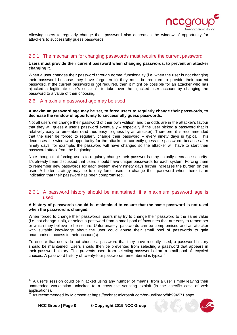

Allowing users to regularly change their password also decreases the window of opportunity for attackers to successfully guess passwords.

## <span id="page-7-0"></span>2.5.1 The mechanism for changing passwords must require the current password

#### **Users must provide their current password when changing passwords, to prevent an attacker changing it.**

When a user changes their password through normal functionality (i.e. when the user is not changing their password because they have forgotten it) they must be required to provide their current password. If the current password is not required, then it might be possible for an attacker who has hijacked a legitimate user's session<sup>[17](#page-7-3)</sup> to take over the hijacked user account by changing the password to a value of their choosing.

### <span id="page-7-1"></span>2.6 A maximum password age may be used

#### **A maximum password age may be set, to force users to regularly change their passwords, to decrease the window of opportunity to successfully guess passwords.**

Not all users will change their password of their own volition, and the odds are in the attacker's favour that they will guess a user's password eventually – especially if the user picked a password that is relatively easy to remember (and thus easy to guess by an attacker). Therefore, it is recommended that the user be forced to regularly change their password – every ninety days is typical. This decreases the window of opportunity for the attacker to correctly guess the password, because after ninety days, for example, the password will have changed so the attacker will have to start their password attack from the beginning.

Note though that forcing users to regularly change their passwords may actually decrease security. It's already been discussed that users should have unique passwords for each system. Forcing them to remember new passwords for each system every ninety days further increases the burden on the user. A better strategy may be to only force users to change their password when there is an indication that their password has been compromised.

### <span id="page-7-2"></span>2.6.1 A password history should be maintained, if a maximum password age is used

#### **A history of passwords should be maintained to ensure that the same password is not used when the password is changed.**

When forced to change their passwords, users may try to change their password to the same value (i.e. not change it all), or select a password from a small pool of favourites that are easy to remember or which they believe to be secure. Unfortunately, passwords can be compromised and an attacker with suitable knowledge about the user could abuse their small pool of passwords to gain unauthorised access to their account(s).

To ensure that users do not choose a password that they have recently used, a password history should be maintained. Users should then be prevented from selecting a password that appears in their password history. This prevents users from selecting passwords from a small pool of recycled choices. A password history of twenty-four passwords remembered is typical<sup>[18](#page-7-4)</sup>.



<span id="page-7-3"></span> $17$  A user's session could be hijacked using any number of means, from a user simply leaving their unattended workstation unlocked to a cross-site scripting exploit (in the specific case of web 

<span id="page-7-4"></span>As recommended by Microsoft at [https://technet.microsoft.com/en-us/library/hh994571.aspx.](https://technet.microsoft.com/en-us/library/hh994571.aspx)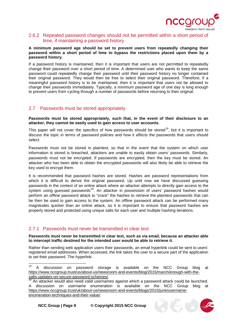

### <span id="page-8-0"></span>2.6.2 Repeated password changes should not be permitted within a short period of time, if maintaining a password history

#### **A minimum password age should be set to prevent users from repeatedly changing their password within a short period of time to bypass the restrictions placed upon them by a password history.**

If a password history is maintained, then it is important that users are not permitted to repeatedly change their password over a short period of time. A determined user who wants to keep the same password could repeatedly change their password until their password history no longer contained their original password. They would then be free to select their original password. Therefore, if a meaningful password history is to be maintained, then it is important that users not be allowed to change their passwords immediately. Typically, a minimum password age of one day is long enough to prevent users from cycling through a number of passwords before returning to their original.

### <span id="page-8-1"></span>2.7 Passwords must be stored appropriately

**Passwords must be stored appropriately, such that, in the event of their disclosure to an attacker, they cannot be easily used to gain access to user accounts.**

This paper will not cover the specifics of how passwords should be stored<sup>[19](#page-8-3)</sup>, but it is important to discuss the topic in terms of password policies and how it affects the passwords that users should select.

Passwords must not be stored in plaintext, so that in the event that the system on which user information is stored is breached, attackers are unable to easily obtain users' passwords. Similarly, passwords must not be encrypted. If passwords are encrypted, then the key must be stored. An attacker who has been able to obtain the encrypted passwords will also likely be able to retrieve the key used to encrypt them.

It is recommended that password hashes are stored. Hashes are password representations from which it is difficult to derive the original password. Up until now we have discussed quessing passwords in the context of an online attack where an attacker attempts to directly gain access to the system using guessed passwords<sup>[20](#page-8-4)</sup>. An attacker in possession of users' password hashes would perform an offline password attack to "crack" the hashes to retrieve the plaintext passwords that can be then be used to gain access to the system. An offline password attack can be performed many magnitudes quicker than an online attack, so it is important to ensure that password hashes are properly stored and protected using unique salts for each user and multiple hashing iterations.

## <span id="page-8-2"></span>2.7.1 Passwords must never be transmitted in clear text

**Passwords must never be transmitted in clear text, such as via email, because an attacker able to intercept traffic destined for the intended user would be able to retrieve it.**

Rather than sending web application users their passwords, an email hyperlink could be sent to users' registered email addresses. When accessed, the link takes the user to a secure part of the application to set their password. The hyperlink:



<span id="page-8-3"></span>discussion on password storage is available on the NCC Group blog at https://www.nccgroup.trust/us/about-us/newsroom-and-events/blog/2015/march/enough-with-the-<br>salts-updates-on-secure-password-schemes/. 19

<span id="page-8-4"></span>An attacker would also need valid usernames against which a password attack could be launched. A discussion on username enumeration is available on the NCC Group blog at [https://www.nccgroup.trust/uk/about-us/newsroom-and-events/blogs/2015/june/username](https://www.nccgroup.trust/uk/about-us/newsroom-and-events/blogs/2015/june/username-enumeration-techniques-and-their-value/)[enumeration-techniques-and-their-value/.](https://www.nccgroup.trust/uk/about-us/newsroom-and-events/blogs/2015/june/username-enumeration-techniques-and-their-value/)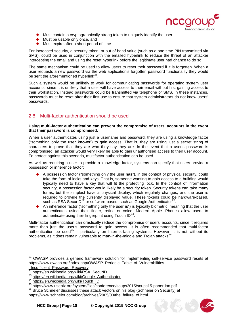

- Must contain a cryptographically strong token to uniquely identify the user,
- Must be usable only once, and
- Must expire after a short period of time.

For increased security, a security token, or out-of-band value (such as a one-time PIN transmitted via SMS), could be used in conjunction with the emailed hyperlink to reduce the threat of an attacker intercepting the email and using the reset hyperlink before the legitimate user had chance to do so.

The same mechanism could be used to allow users to reset their password if it is forgotten. When a user requests a new password via the web application's forgotten password functionality they would be sent the aforementioned hyperlink $^{21}$  $^{21}$  $^{21}$ .

Such a system would be unlikely to work for communicating passwords for operating system user accounts, since it is unlikely that a user will have access to their email without first gaining access to their workstation. Instead passwords could be transmitted via telephone or SMS. In these instances, passwords must be reset after their first use to ensure that system administrators do not know users' passwords.

## <span id="page-9-0"></span>2.8 Multi-factor authentication should be used

#### **Using multi-factor authentication can prevent the compromise of users' accounts in the event that their password is compromised.**

When a user authenticates using just a username and password, they are using a knowledge factor ("something only the user **knows**") to gain access. That is, they are using just a secret string of characters to prove that they are who they say they are. In the event that a user's password is compromised, an attacker would very likely be able to gain unauthorised access to their user account. To protect against this scenario, multifactor authentication can be used.

As well as requiring a user to provide a knowledge factor, systems can specify that users provide a possession or inherence factor:

- A possession factor ("something only the user **has**"), in the context of physical security, could take the form of locks and keys. That is, someone wanting to gain access to a building would typically need to have a key that will fit the protecting lock. In the context of information security, a possession factor would likely be a security token. Security tokens can take many forms, but the simplest have a physical display, which regularly changes, and the user is required to provide the currently displayed value. These tokens could be hardware-based, such as RSA SecurID<sup>[22](#page-9-2)</sup> or software-based, such as Google Authenticator<sup>23</sup>.
- An inherence factor ("something only the user **is**") is typically biometric, meaning that the user authenticates using their finger, retina or voice. Modern Apple iPhones allow users to authenticate using their fingerprint using Touch  $ID^{24}$  $ID^{24}$  $ID^{24}$ .

Multi-factor authentication can drastically reduce the compromise of users' accounts, since it requires more than just the user's password to gain access. It is often recommended that multi-factor authentication be used<sup>[25](#page-9-5)</sup> – particularly on Internet-facing systems. However, it is not without its problems, as it does remain vulnerable to man-in-the-middle and Trojan attacks<sup>[26](#page-9-6)</sup>.

Ę



<span id="page-9-1"></span><sup>&</sup>lt;sup>21</sup> OWASP provides a generic framework solution for implementing self-service password resets at [https://www.owasp.org/index.php/OWASP\\_Periodic\\_Table\\_of\\_Vulnerabilities\\_-](https://www.owasp.org/index.php/OWASP_Periodic_Table_of_Vulnerabilities_-_Insufficient_Password_Recovery)<br>\_Insufficient\_Password\_Recovery.

<span id="page-9-3"></span>

<span id="page-9-4"></span>

<span id="page-9-2"></span><sup>&</sup>lt;sup>22</sup> [https://en.wikipedia.org/wiki/RSA\\_SecurID](https://en.wikipedia.org/wiki/RSA_SecurID)<br>
<sup>23</sup> https://en.wikipedia.org/wiki/RSA\_SecurID<br>
<sup>24</sup> [https://en.wikipedia.org/wiki/Google\\_Authenticator](https://en.wikipedia.org/wiki/Google_Authenticator)<br>
<sup>24</sup> [https://en.wikipedia.org/wiki/Touch\\_ID](https://en.wikipedia.org/wiki/Touch_ID)<br>
<sup>25</sup> https://www.usenix.

<span id="page-9-6"></span><span id="page-9-5"></span>[https://www.schneier.com/blog/archives/2005/03/the\\_failure\\_of.html.](https://www.schneier.com/blog/archives/2005/03/the_failure_of.html)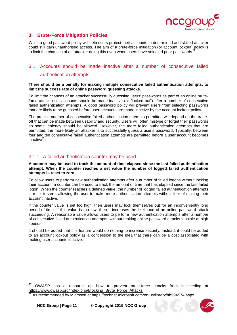

## <span id="page-10-0"></span>**3 Brute-Force Mitigation Policies**

While a good password policy will help users protect their accounts, a determined and skilled attacker could still gain unauthorised access. The aim of a brute-force mitigation (or account lockout) policy is to limit the chances of an attacker doing this even when users have selected poor passwords<sup>2</sup>

# <span id="page-10-1"></span>3.1 Accounts should be made inactive after a number of consecutive failed authentication attempts

#### **There should be a penalty for making multiple consecutive failed authentication attempts, to limit the success rate of online password guessing attacks.**

To limit the chances of an attacker successfully guessing users' passwords as part of an online bruteforce attack, user accounts should be made inactive (or "locked out") after a number of consecutive failed authentication attempts. A good password policy will prevent users from selecting passwords that are likely to be guessed before user accounts are made inactive by the account lockout policy.

The precise number of consecutive failed authentication attempts permitted will depend on the tradeoff that can be made between usability and security. Users will often mistype or forget their passwords so some leniency should be allowed. However, the more failed authentication attempts that are permitted, the more likely an attacker is to successfully guess a user's password. Typically, between four and ten consecutive failed authentication attempts are permitted before a user account becomes inactive $^{28}$ .

## <span id="page-10-2"></span>3.1.1 A failed authentication counter may be used

#### **A counter may be used to track the amount of time elapsed since the last failed authentication attempt. When the counter reaches a set value the number of logged failed authentication attempts is reset to zero.**

To allow users to perform new authentication attempts after a number of failed logons without locking their account, a counter can be used to track the amount of time that has elapsed since the last failed logon. When the counter reaches a defined value, the number of logged failed authentication attempts is reset to zero, allowing the user to make more authentication attempts without fear of making their account inactive.

If the counter value is set too high, then users may lock themselves out for an inconveniently long period of time. If this value is too low, then it increases the likelihood of an online password attack succeeding. A reasonable value allows users to perform new authentication attempts after a number of consecutive failed authentication attempts, without making online password attacks feasible at high speeds.

It should be added that this feature would do nothing to increase security. Instead, it could be added to an account lockout policy as a concession to the idea that there can be a cost associated with making user accounts inactive.



<span id="page-10-3"></span><sup>&</sup>lt;sup>27</sup> OWASP has a resource on how to prevent brute-force attacks from succeeding at https://www.owasp.org/index.php/Blocking Brute Force Attacks.  $27$ 

<span id="page-10-4"></span>As recommended by Microsoft at [https://technet.microsoft.com/en-us/library/hh994574.aspx.](https://technet.microsoft.com/en-us/library/hh994574.aspx)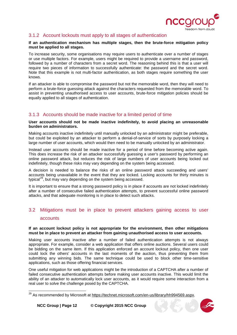

## <span id="page-11-0"></span>3.1.2 Account lockouts must apply to all stages of authentication

#### **If an authentication mechanism has multiple stages, then the brute-force mitigation policy must be applied to all stages.**

To increase security, some organisations may require users to authenticate over a number of stages or use multiple factors. For example, users might be required to provide a username and password, followed by a number of characters from a secret word. The reasoning behind this is that a user will require two pieces of information to successfully authenticate: the password and the secret word. Note that this example is not multi-factor authentication, as both stages require something the user knows.

If an attacker is able to compromise the password but not the memorable word, then they will need to perform a brute-force guessing attack against the characters requested from the memorable word. To assist in preventing unauthorised access to user accounts, brute-force mitigation policies should be equally applied to all stages of authentication.

## <span id="page-11-1"></span>3.1.3 Accounts should be made inactive for a limited period of time

**User accounts should not be made inactive indefinitely, to avoid placing an unreasonable burden on administrators.**

Making accounts inactive indefinitely until manually unlocked by an administrator might be preferable, but could be exploited by an attacker to perform a denial-of-service of sorts by purposely locking a large number of user accounts, which would then need to be manually unlocked by an administrator.

Instead user accounts should be made inactive for a period of time before becoming active again. This does increase the risk of an attacker successfully guessing a user's password by performing an online password attack, but reduces the risk of large numbers of user accounts being locked out indefinitely, though these risks may vary depending on the system being accessed.

A decision is needed to balance the risks of an online password attack succeeding and users' accounts being unavailable in the event that they are locked. Locking accounts for thirty minutes is typical<sup>[29](#page-11-3)</sup>, but may vary depending on the system being accessed.

It is important to ensure that a strong password policy is in place if accounts are not locked indefinitely after a number of consecutive failed authentication attempts, to prevent successful online password attacks, and that adequate monitoring is in place to detect such attacks.

# <span id="page-11-2"></span>3.2 Mitigations must be in place to prevent attackers gaining access to user accounts

#### **If an account lockout policy is not appropriate for the environment, then other mitigations must be in place to prevent an attacker from gaining unauthorised access to user accounts.**

Making user accounts inactive after a number of failed authentication attempts is not always appropriate. For example, consider a web application that offers online auctions. Several users could be bidding on the same item. If this application enforced an account lockout policy, then one user could lock the others' accounts in the last moments of the auction, thus preventing them from submitting any winning bids. The same technique could be used to block other time-sensitive applications, such as those offering financial services.

One useful mitigation for web applications might be the introduction of a CAPTCHA after a number of failed consecutive authentication attempts before making user accounts inactive. This would limit the ability of an attacker to automatically lock user accounts, as it would require some interaction from a real user to solve the challenge posed by the CAPTCHA.



<span id="page-11-3"></span><sup>&</sup>lt;sup>29</sup> As recommended by Microsoft at <u>https://technet.microsoft.com/en-us/library/hh994569.aspx</u>.  $\overline{a}$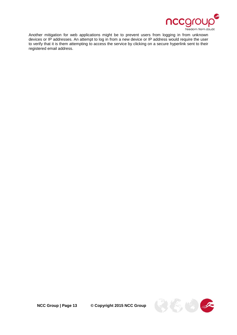

Another mitigation for web applications might be to prevent users from logging in from unknown devices or IP addresses. An attempt to log in from a new device or IP address would require the user to verify that it is them attempting to access the service by clicking on a secure hyperlink sent to their registered email address.

**NCC Group | Page 13 © Copyright 2015 NCC Group**

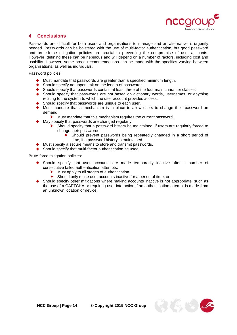

## <span id="page-13-0"></span>**4 Conclusions**

Passwords are difficult for both users and organisations to manage and an alternative is urgently needed. Passwords can be bolstered with the use of multi-factor authentication, but good password and brute-force mitigation policies are crucial in preventing the compromise of user accounts. However, defining these can be nebulous and will depend on a number of factors, including cost and usability. However, some broad recommendations can be made with the specifics varying between organisations, as well as individuals.

Password policies:

- Must mandate that passwords are greater than a specified minimum length.
- ◆ Should specify no upper limit on the length of passwords.
- ◆ Should specify that passwords contain at least three of the four main character classes.<br>◆ Should specify that passwords are not based on dictionary words, usernames, or an
- Should specify that passwords are not based on dictionary words, usernames, or anything relating to the system to which the user account provides access.
- Should specify that passwords are unique to each user.
- Must mandate that a mechanism is in place to allow users to change their password on demand.
	- Must mandate that this mechanism requires the current password.
- May specify that passwords are changed regularly.
	- Should specify that a password history be maintained, if users are regularly forced to change their passwords.
		- Should prevent passwords being repeatedly changed in a short period of time, if a password history is maintained.
- Must specify a secure means to store and transmit passwords.
- ◆ Should specify that multi-factor authentication be used.

Brute-force mitigation policies:

- Should specify that user accounts are made temporarily inactive after a number of consecutive failed authentication attempts.
	- > Must apply to all stages of authentication.<br>> Should only make user accounts inactive
	- Should only make user accounts inactive for a period of time, or
- Should specify other mitigations where making accounts inactive is not appropriate, such as the use of a CAPTCHA or requiring user interaction if an authentication attempt is made from an unknown location or device.